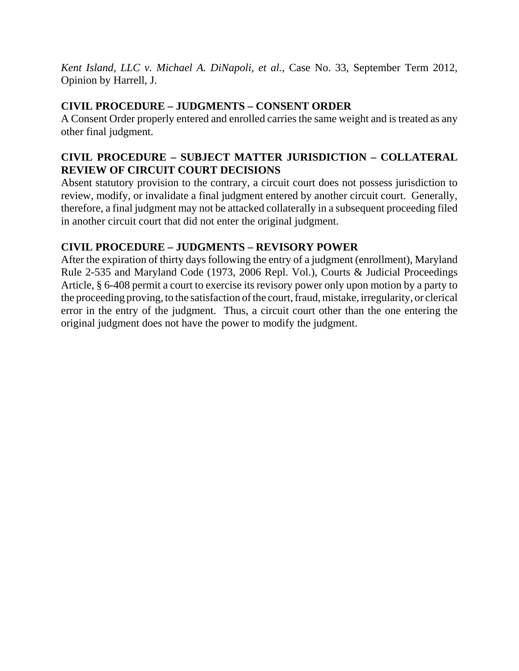*Kent Island, LLC v. Michael A. DiNapoli, et al.*, Case No. 33, September Term 2012, Opinion by Harrell, J.

## **CIVIL PROCEDURE – JUDGMENTS – CONSENT ORDER**

A Consent Order properly entered and enrolled carries the same weight and is treated as any other final judgment.

## **CIVIL PROCEDURE – SUBJECT MATTER JURISDICTION – COLLATERAL REVIEW OF CIRCUIT COURT DECISIONS**

Absent statutory provision to the contrary, a circuit court does not possess jurisdiction to review, modify, or invalidate a final judgment entered by another circuit court. Generally, therefore, a final judgment may not be attacked collaterally in a subsequent proceeding filed in another circuit court that did not enter the original judgment.

# **CIVIL PROCEDURE – JUDGMENTS – REVISORY POWER**

After the expiration of thirty days following the entry of a judgment (enrollment), Maryland Rule 2-535 and Maryland Code (1973, 2006 Repl. Vol.), Courts & Judicial Proceedings Article, § 6-408 permit a court to exercise its revisory power only upon motion by a party to the proceeding proving, to the satisfaction of the court, fraud, mistake, irregularity, or clerical error in the entry of the judgment. Thus, a circuit court other than the one entering the original judgment does not have the power to modify the judgment.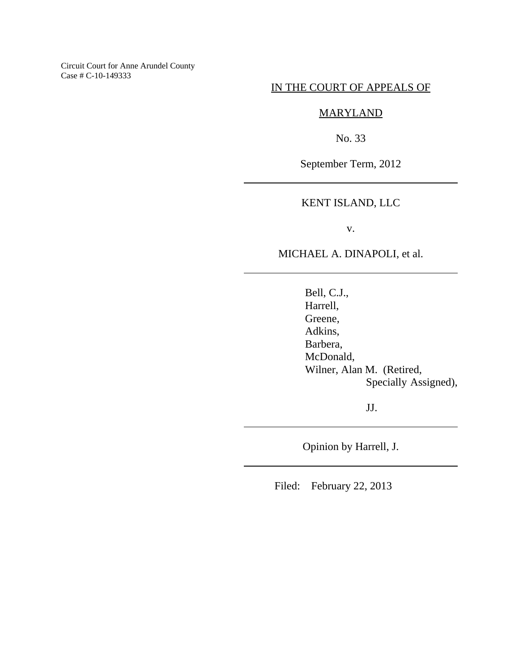Circuit Court for Anne Arundel County Case # C-10-149333

### IN THE COURT OF APPEALS OF

### MARYLAND

No. 33

September Term, 2012

### KENT ISLAND, LLC

v.

MICHAEL A. DINAPOLI, et al.

Bell, C.J., Harrell, Greene, Adkins, Barbera, McDonald, Wilner, Alan M. (Retired, Specially Assigned),

JJ.

Opinion by Harrell, J.

Filed: February 22, 2013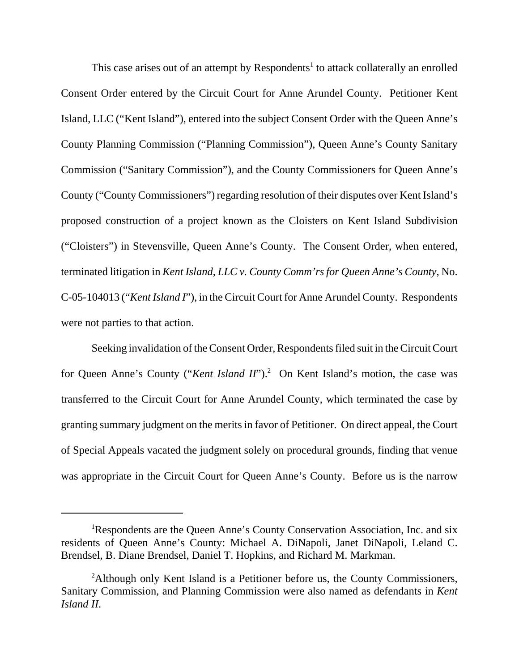This case arises out of an attempt by Respondents<sup>1</sup> to attack collaterally an enrolled Consent Order entered by the Circuit Court for Anne Arundel County. Petitioner Kent Island, LLC ("Kent Island"), entered into the subject Consent Order with the Queen Anne's County Planning Commission ("Planning Commission"), Queen Anne's County Sanitary Commission ("Sanitary Commission"), and the County Commissioners for Queen Anne's County ("County Commissioners") regarding resolution of their disputes over Kent Island's proposed construction of a project known as the Cloisters on Kent Island Subdivision ("Cloisters") in Stevensville, Queen Anne's County. The Consent Order, when entered, terminated litigation in *Kent Island, LLC v. County Comm'rs for Queen Anne's County*, No. C-05-104013 ("*Kent Island I*"), in the Circuit Court for Anne Arundel County. Respondents were not parties to that action.

Seeking invalidation of the Consent Order, Respondents filed suit in the Circuit Court for Queen Anne's County ("*Kent Island II*").<sup>2</sup> On Kent Island's motion, the case was transferred to the Circuit Court for Anne Arundel County, which terminated the case by granting summary judgment on the merits in favor of Petitioner. On direct appeal, the Court of Special Appeals vacated the judgment solely on procedural grounds, finding that venue was appropriate in the Circuit Court for Queen Anne's County. Before us is the narrow

<sup>&</sup>lt;sup>1</sup>Respondents are the Queen Anne's County Conservation Association, Inc. and six residents of Queen Anne's County: Michael A. DiNapoli, Janet DiNapoli, Leland C. Brendsel, B. Diane Brendsel, Daniel T. Hopkins, and Richard M. Markman.

<sup>&</sup>lt;sup>2</sup>Although only Kent Island is a Petitioner before us, the County Commissioners, Sanitary Commission, and Planning Commission were also named as defendants in *Kent Island II*.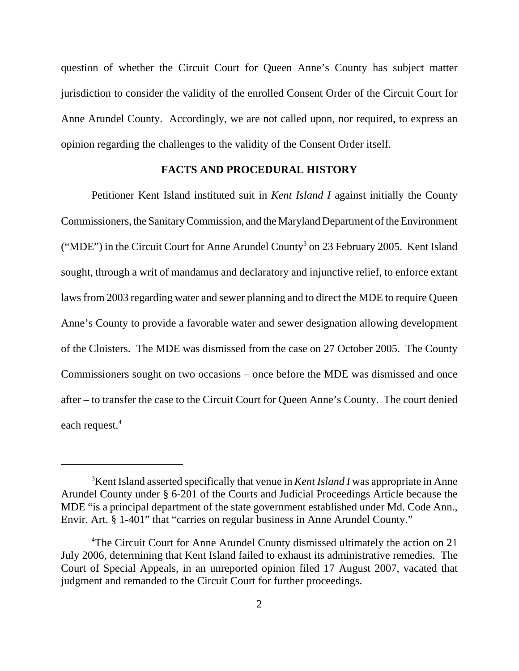question of whether the Circuit Court for Queen Anne's County has subject matter jurisdiction to consider the validity of the enrolled Consent Order of the Circuit Court for Anne Arundel County. Accordingly, we are not called upon, nor required, to express an opinion regarding the challenges to the validity of the Consent Order itself.

#### **FACTS AND PROCEDURAL HISTORY**

Petitioner Kent Island instituted suit in *Kent Island I* against initially the County Commissioners, the Sanitary Commission, and the Maryland Department of the Environment ("MDE") in the Circuit Court for Anne Arundel County<sup>3</sup> on 23 February 2005. Kent Island sought, through a writ of mandamus and declaratory and injunctive relief, to enforce extant laws from 2003 regarding water and sewer planning and to direct the MDE to require Queen Anne's County to provide a favorable water and sewer designation allowing development of the Cloisters. The MDE was dismissed from the case on 27 October 2005. The County Commissioners sought on two occasions – once before the MDE was dismissed and once after – to transfer the case to the Circuit Court for Queen Anne's County. The court denied each request.<sup>4</sup>

<sup>3</sup> Kent Island asserted specifically that venue in *Kent Island I* was appropriate in Anne Arundel County under § 6-201 of the Courts and Judicial Proceedings Article because the MDE "is a principal department of the state government established under Md. Code Ann., Envir. Art. § 1-401" that "carries on regular business in Anne Arundel County."

<sup>&</sup>lt;sup>4</sup>The Circuit Court for Anne Arundel County dismissed ultimately the action on 21 July 2006, determining that Kent Island failed to exhaust its administrative remedies. The Court of Special Appeals, in an unreported opinion filed 17 August 2007, vacated that judgment and remanded to the Circuit Court for further proceedings.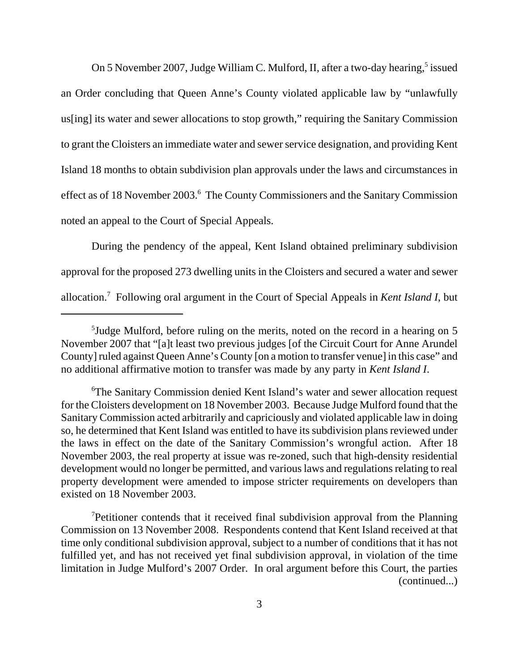On 5 November 2007, Judge William C. Mulford, II, after a two-day hearing,<sup>5</sup> issued an Order concluding that Queen Anne's County violated applicable law by "unlawfully us[ing] its water and sewer allocations to stop growth," requiring the Sanitary Commission to grant the Cloisters an immediate water and sewer service designation, and providing Kent Island 18 months to obtain subdivision plan approvals under the laws and circumstances in effect as of 18 November 2003.<sup>6</sup> The County Commissioners and the Sanitary Commission noted an appeal to the Court of Special Appeals.

During the pendency of the appeal, Kent Island obtained preliminary subdivision approval for the proposed 273 dwelling units in the Cloisters and secured a water and sewer allocation.7 Following oral argument in the Court of Special Appeals in *Kent Island I*, but

<sup>5</sup> Judge Mulford, before ruling on the merits, noted on the record in a hearing on 5 November 2007 that "[a]t least two previous judges [of the Circuit Court for Anne Arundel County] ruled against Queen Anne's County [on a motion to transfer venue] in this case" and no additional affirmative motion to transfer was made by any party in *Kent Island I*.

<sup>6</sup> The Sanitary Commission denied Kent Island's water and sewer allocation request for the Cloisters development on 18 November 2003. Because Judge Mulford found that the Sanitary Commission acted arbitrarily and capriciously and violated applicable law in doing so, he determined that Kent Island was entitled to have its subdivision plans reviewed under the laws in effect on the date of the Sanitary Commission's wrongful action. After 18 November 2003, the real property at issue was re-zoned, such that high-density residential development would no longer be permitted, and various laws and regulations relating to real property development were amended to impose stricter requirements on developers than existed on 18 November 2003.

<sup>&</sup>lt;sup>7</sup>Petitioner contends that it received final subdivision approval from the Planning Commission on 13 November 2008. Respondents contend that Kent Island received at that time only conditional subdivision approval, subject to a number of conditions that it has not fulfilled yet, and has not received yet final subdivision approval, in violation of the time limitation in Judge Mulford's 2007 Order. In oral argument before this Court, the parties (continued...)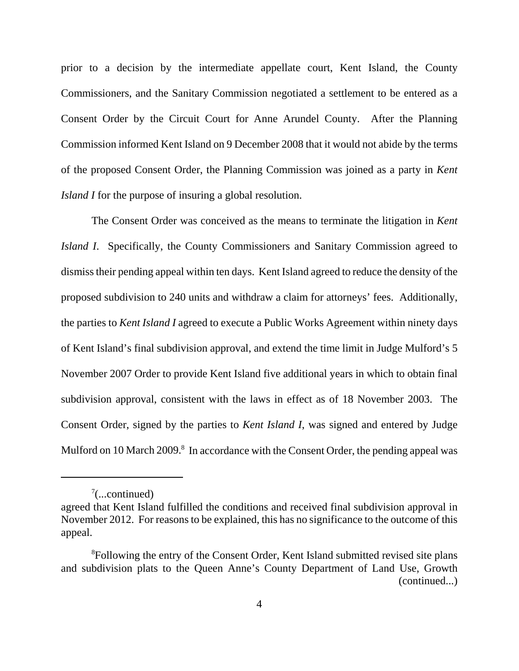prior to a decision by the intermediate appellate court, Kent Island, the County Commissioners, and the Sanitary Commission negotiated a settlement to be entered as a Consent Order by the Circuit Court for Anne Arundel County. After the Planning Commission informed Kent Island on 9 December 2008 that it would not abide by the terms of the proposed Consent Order, the Planning Commission was joined as a party in *Kent Island I* for the purpose of insuring a global resolution.

The Consent Order was conceived as the means to terminate the litigation in *Kent Island I*. Specifically, the County Commissioners and Sanitary Commission agreed to dismiss their pending appeal within ten days. Kent Island agreed to reduce the density of the proposed subdivision to 240 units and withdraw a claim for attorneys' fees. Additionally, the parties to *Kent Island I* agreed to execute a Public Works Agreement within ninety days of Kent Island's final subdivision approval, and extend the time limit in Judge Mulford's 5 November 2007 Order to provide Kent Island five additional years in which to obtain final subdivision approval, consistent with the laws in effect as of 18 November 2003. The Consent Order, signed by the parties to *Kent Island I*, was signed and entered by Judge Mulford on 10 March 2009.<sup>8</sup> In accordance with the Consent Order, the pending appeal was

 $7$ (...continued)

agreed that Kent Island fulfilled the conditions and received final subdivision approval in November 2012. For reasons to be explained, this has no significance to the outcome of this appeal.

<sup>&</sup>lt;sup>8</sup>Following the entry of the Consent Order, Kent Island submitted revised site plans and subdivision plats to the Queen Anne's County Department of Land Use, Growth (continued...)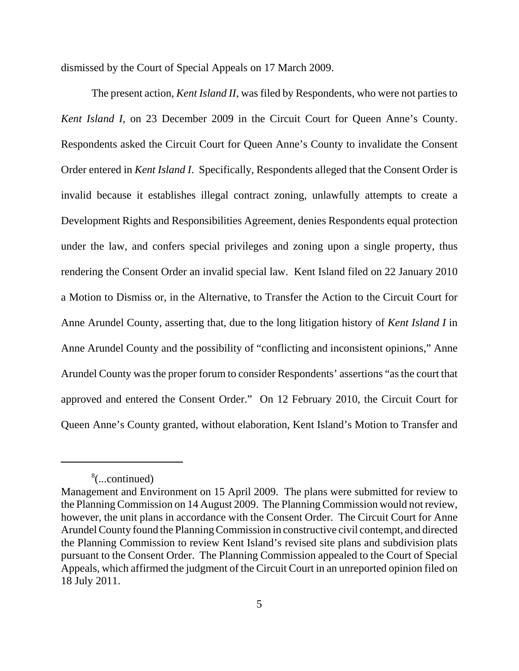dismissed by the Court of Special Appeals on 17 March 2009.

The present action, *Kent Island II*, was filed by Respondents, who were not parties to *Kent Island I*, on 23 December 2009 in the Circuit Court for Queen Anne's County. Respondents asked the Circuit Court for Queen Anne's County to invalidate the Consent Order entered in *Kent Island I*. Specifically, Respondents alleged that the Consent Order is invalid because it establishes illegal contract zoning, unlawfully attempts to create a Development Rights and Responsibilities Agreement, denies Respondents equal protection under the law, and confers special privileges and zoning upon a single property, thus rendering the Consent Order an invalid special law. Kent Island filed on 22 January 2010 a Motion to Dismiss or, in the Alternative, to Transfer the Action to the Circuit Court for Anne Arundel County, asserting that, due to the long litigation history of *Kent Island I* in Anne Arundel County and the possibility of "conflicting and inconsistent opinions," Anne Arundel County was the proper forum to consider Respondents' assertions "as the court that approved and entered the Consent Order." On 12 February 2010, the Circuit Court for Queen Anne's County granted, without elaboration, Kent Island's Motion to Transfer and

<sup>8</sup> (...continued)

Management and Environment on 15 April 2009. The plans were submitted for review to the Planning Commission on 14 August 2009. The Planning Commission would not review, however, the unit plans in accordance with the Consent Order. The Circuit Court for Anne Arundel County found the Planning Commission in constructive civil contempt, and directed the Planning Commission to review Kent Island's revised site plans and subdivision plats pursuant to the Consent Order. The Planning Commission appealed to the Court of Special Appeals, which affirmed the judgment of the Circuit Court in an unreported opinion filed on 18 July 2011.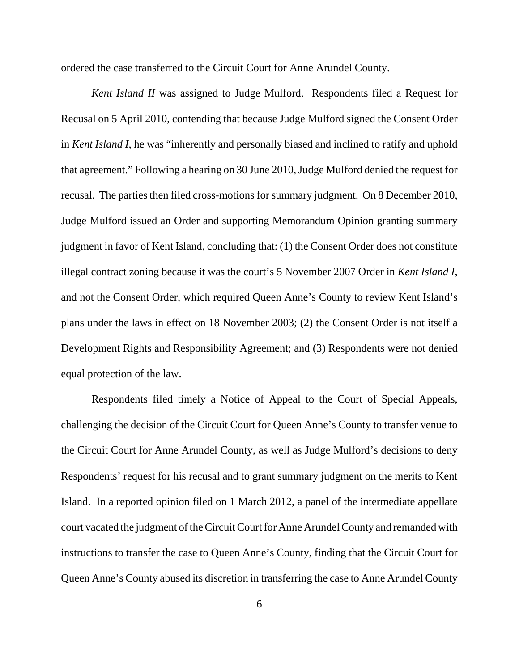ordered the case transferred to the Circuit Court for Anne Arundel County.

*Kent Island II* was assigned to Judge Mulford. Respondents filed a Request for Recusal on 5 April 2010, contending that because Judge Mulford signed the Consent Order in *Kent Island I*, he was "inherently and personally biased and inclined to ratify and uphold that agreement." Following a hearing on 30 June 2010, Judge Mulford denied the request for recusal. The parties then filed cross-motions for summary judgment. On 8 December 2010, Judge Mulford issued an Order and supporting Memorandum Opinion granting summary judgment in favor of Kent Island, concluding that: (1) the Consent Order does not constitute illegal contract zoning because it was the court's 5 November 2007 Order in *Kent Island I*, and not the Consent Order, which required Queen Anne's County to review Kent Island's plans under the laws in effect on 18 November 2003; (2) the Consent Order is not itself a Development Rights and Responsibility Agreement; and (3) Respondents were not denied equal protection of the law.

Respondents filed timely a Notice of Appeal to the Court of Special Appeals, challenging the decision of the Circuit Court for Queen Anne's County to transfer venue to the Circuit Court for Anne Arundel County, as well as Judge Mulford's decisions to deny Respondents' request for his recusal and to grant summary judgment on the merits to Kent Island. In a reported opinion filed on 1 March 2012, a panel of the intermediate appellate court vacated the judgment of the Circuit Court for Anne Arundel County and remanded with instructions to transfer the case to Queen Anne's County, finding that the Circuit Court for Queen Anne's County abused its discretion in transferring the case to Anne Arundel County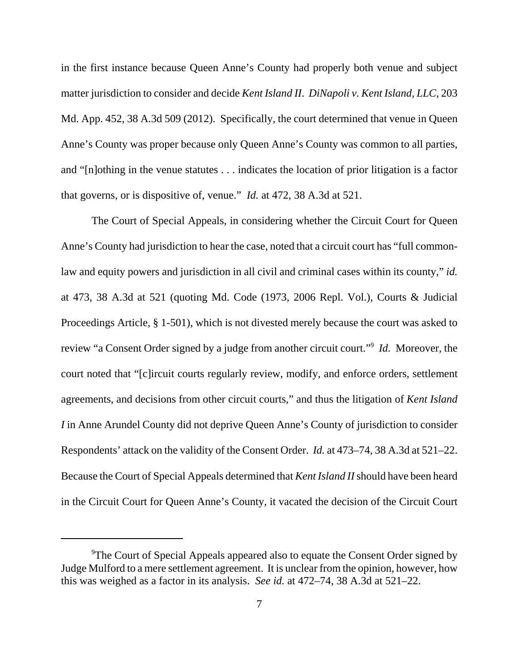in the first instance because Queen Anne's County had properly both venue and subject matter jurisdiction to consider and decide *Kent Island II*. *DiNapoli v. Kent Island, LLC*, 203 Md. App. 452, 38 A.3d 509 (2012). Specifically, the court determined that venue in Queen Anne's County was proper because only Queen Anne's County was common to all parties, and "[n]othing in the venue statutes . . . indicates the location of prior litigation is a factor that governs, or is dispositive of, venue." *Id.* at 472, 38 A.3d at 521.

The Court of Special Appeals, in considering whether the Circuit Court for Queen Anne's County had jurisdiction to hear the case, noted that a circuit court has "full commonlaw and equity powers and jurisdiction in all civil and criminal cases within its county," *id.* at 473, 38 A.3d at 521 (quoting Md. Code (1973, 2006 Repl. Vol.), Courts & Judicial Proceedings Article, § 1-501), which is not divested merely because the court was asked to review "a Consent Order signed by a judge from another circuit court."9 *Id.* Moreover, the court noted that "[c]ircuit courts regularly review, modify, and enforce orders, settlement agreements, and decisions from other circuit courts," and thus the litigation of *Kent Island I* in Anne Arundel County did not deprive Queen Anne's County of jurisdiction to consider Respondents' attack on the validity of the Consent Order. *Id.* at 473–74, 38 A.3d at 521–22. Because the Court of Special Appeals determined that *Kent Island II* should have been heard in the Circuit Court for Queen Anne's County, it vacated the decision of the Circuit Court

<sup>&</sup>lt;sup>9</sup>The Court of Special Appeals appeared also to equate the Consent Order signed by Judge Mulford to a mere settlement agreement. It is unclear from the opinion, however, how this was weighed as a factor in its analysis. *See id.* at 472–74, 38 A.3d at 521–22.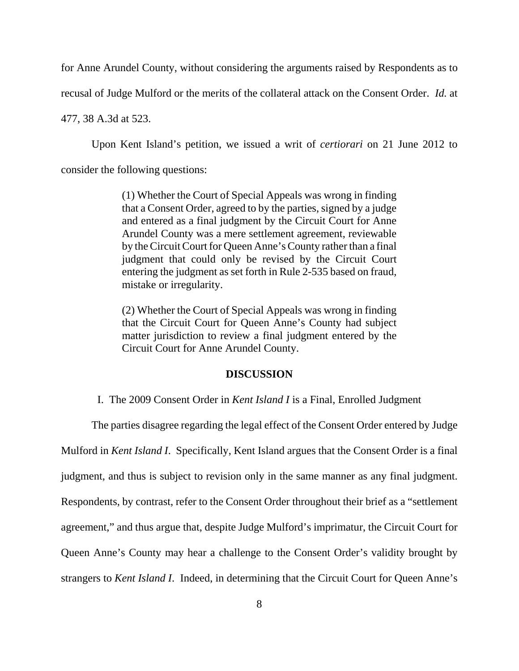for Anne Arundel County, without considering the arguments raised by Respondents as to

recusal of Judge Mulford or the merits of the collateral attack on the Consent Order. *Id.* at

477, 38 A.3d at 523.

Upon Kent Island's petition, we issued a writ of *certiorari* on 21 June 2012 to

consider the following questions:

(1) Whether the Court of Special Appeals was wrong in finding that a Consent Order, agreed to by the parties, signed by a judge and entered as a final judgment by the Circuit Court for Anne Arundel County was a mere settlement agreement, reviewable by the Circuit Court for Queen Anne's County rather than a final judgment that could only be revised by the Circuit Court entering the judgment as set forth in Rule 2-535 based on fraud, mistake or irregularity.

(2) Whether the Court of Special Appeals was wrong in finding that the Circuit Court for Queen Anne's County had subject matter jurisdiction to review a final judgment entered by the Circuit Court for Anne Arundel County.

#### **DISCUSSION**

I. The 2009 Consent Order in *Kent Island I* is a Final, Enrolled Judgment

The parties disagree regarding the legal effect of the Consent Order entered by Judge

Mulford in *Kent Island I*. Specifically, Kent Island argues that the Consent Order is a final

judgment, and thus is subject to revision only in the same manner as any final judgment.

Respondents, by contrast, refer to the Consent Order throughout their brief as a "settlement

agreement," and thus argue that, despite Judge Mulford's imprimatur, the Circuit Court for

Queen Anne's County may hear a challenge to the Consent Order's validity brought by

strangers to *Kent Island I*. Indeed, in determining that the Circuit Court for Queen Anne's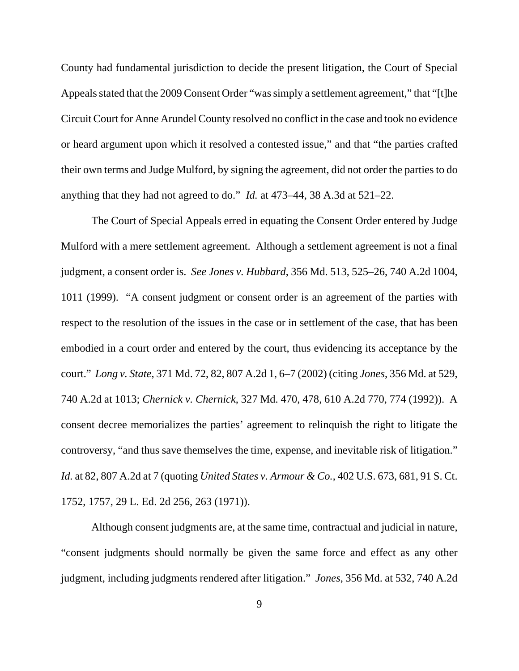County had fundamental jurisdiction to decide the present litigation, the Court of Special Appeals stated that the 2009 Consent Order "was simply a settlement agreement," that "[t]he Circuit Court for Anne Arundel County resolved no conflict in the case and took no evidence or heard argument upon which it resolved a contested issue," and that "the parties crafted their own terms and Judge Mulford, by signing the agreement, did not order the parties to do anything that they had not agreed to do." *Id.* at 473–44, 38 A.3d at 521–22.

The Court of Special Appeals erred in equating the Consent Order entered by Judge Mulford with a mere settlement agreement. Although a settlement agreement is not a final judgment, a consent order is. *See Jones v. Hubbard*, 356 Md. 513, 525–26, 740 A.2d 1004, 1011 (1999). "A consent judgment or consent order is an agreement of the parties with respect to the resolution of the issues in the case or in settlement of the case, that has been embodied in a court order and entered by the court, thus evidencing its acceptance by the court." *Long v. State*, 371 Md. 72, 82, 807 A.2d 1, 6–7 (2002) (citing *Jones*, 356 Md. at 529, 740 A.2d at 1013; *Chernick v. Chernick*, 327 Md. 470, 478, 610 A.2d 770, 774 (1992)). A consent decree memorializes the parties' agreement to relinquish the right to litigate the controversy, "and thus save themselves the time, expense, and inevitable risk of litigation." *Id.* at 82, 807 A.2d at 7 (quoting *United States v. Armour & Co.*, 402 U.S. 673, 681, 91 S. Ct. 1752, 1757, 29 L. Ed. 2d 256, 263 (1971)).

Although consent judgments are, at the same time, contractual and judicial in nature, "consent judgments should normally be given the same force and effect as any other judgment, including judgments rendered after litigation." *Jones*, 356 Md. at 532, 740 A.2d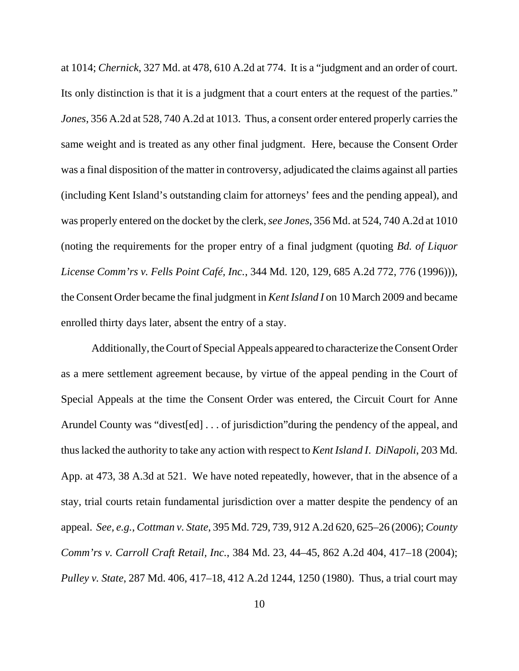at 1014; *Chernick*, 327 Md. at 478, 610 A.2d at 774. It is a "judgment and an order of court. Its only distinction is that it is a judgment that a court enters at the request of the parties." *Jones*, 356 A.2d at 528, 740 A.2d at 1013. Thus, a consent order entered properly carries the same weight and is treated as any other final judgment. Here, because the Consent Order was a final disposition of the matter in controversy, adjudicated the claims against all parties (including Kent Island's outstanding claim for attorneys' fees and the pending appeal), and was properly entered on the docket by the clerk, *see Jones*, 356 Md. at 524, 740 A.2d at 1010 (noting the requirements for the proper entry of a final judgment (quoting *Bd. of Liquor License Comm'rs v. Fells Point Café, Inc.*, 344 Md. 120, 129, 685 A.2d 772, 776 (1996))), the Consent Order became the final judgment in *Kent Island I* on 10 March 2009 and became enrolled thirty days later, absent the entry of a stay.

Additionally, the Court of Special Appeals appeared to characterize the Consent Order as a mere settlement agreement because, by virtue of the appeal pending in the Court of Special Appeals at the time the Consent Order was entered, the Circuit Court for Anne Arundel County was "divest[ed] . . . of jurisdiction"during the pendency of the appeal, and thus lacked the authority to take any action with respect to *Kent Island I*. *DiNapoli*, 203 Md. App. at 473, 38 A.3d at 521. We have noted repeatedly, however, that in the absence of a stay, trial courts retain fundamental jurisdiction over a matter despite the pendency of an appeal. *See, e.g.*, *Cottman v. State*, 395 Md. 729, 739, 912 A.2d 620, 625–26 (2006); *County Comm'rs v. Carroll Craft Retail, Inc.*, 384 Md. 23, 44–45, 862 A.2d 404, 417–18 (2004); *Pulley v. State*, 287 Md. 406, 417–18, 412 A.2d 1244, 1250 (1980). Thus, a trial court may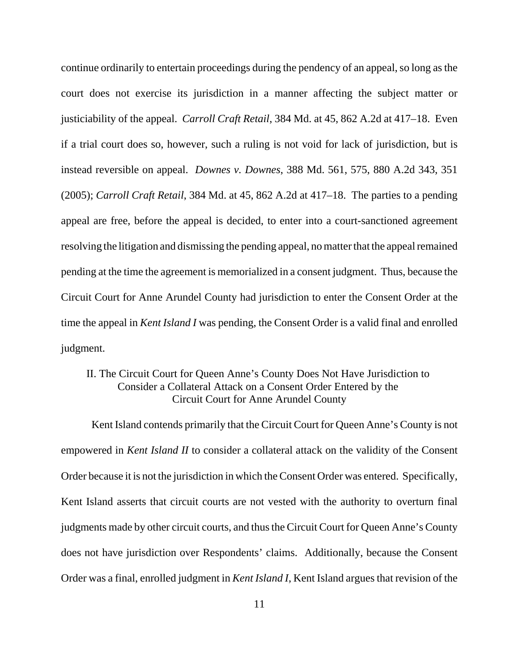continue ordinarily to entertain proceedings during the pendency of an appeal, so long as the court does not exercise its jurisdiction in a manner affecting the subject matter or justiciability of the appeal. *Carroll Craft Retail*, 384 Md. at 45, 862 A.2d at 417–18. Even if a trial court does so, however, such a ruling is not void for lack of jurisdiction, but is instead reversible on appeal. *Downes v. Downes*, 388 Md. 561, 575, 880 A.2d 343, 351 (2005); *Carroll Craft Retail*, 384 Md. at 45, 862 A.2d at 417–18. The parties to a pending appeal are free, before the appeal is decided, to enter into a court-sanctioned agreement resolving the litigation and dismissing the pending appeal, no matter that the appeal remained pending at the time the agreement is memorialized in a consent judgment. Thus, because the Circuit Court for Anne Arundel County had jurisdiction to enter the Consent Order at the time the appeal in *Kent Island I* was pending, the Consent Order is a valid final and enrolled judgment.

### II. The Circuit Court for Queen Anne's County Does Not Have Jurisdiction to Consider a Collateral Attack on a Consent Order Entered by the Circuit Court for Anne Arundel County

Kent Island contends primarily that the Circuit Court for Queen Anne's County is not empowered in *Kent Island II* to consider a collateral attack on the validity of the Consent Order because it is not the jurisdiction in which the Consent Order was entered. Specifically, Kent Island asserts that circuit courts are not vested with the authority to overturn final judgments made by other circuit courts, and thus the Circuit Court for Queen Anne's County does not have jurisdiction over Respondents' claims. Additionally, because the Consent Order was a final, enrolled judgment in *Kent Island I*, Kent Island argues that revision of the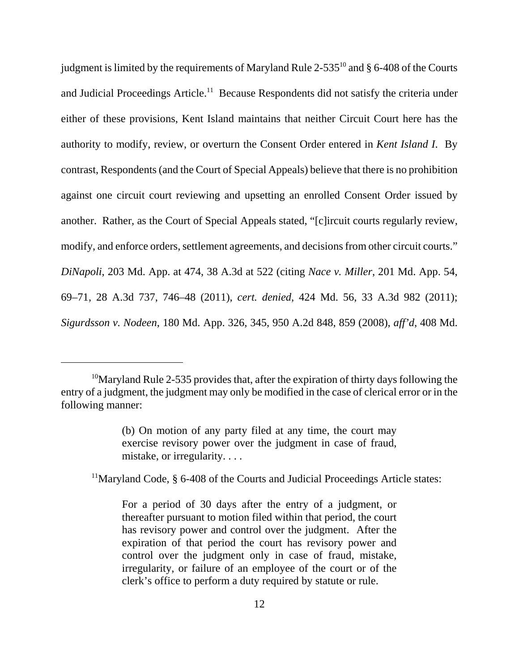judgment is limited by the requirements of Maryland Rule  $2-535^{10}$  and § 6-408 of the Courts and Judicial Proceedings Article.<sup>11</sup> Because Respondents did not satisfy the criteria under either of these provisions, Kent Island maintains that neither Circuit Court here has the authority to modify, review, or overturn the Consent Order entered in *Kent Island I*. By contrast, Respondents (and the Court of Special Appeals) believe that there is no prohibition against one circuit court reviewing and upsetting an enrolled Consent Order issued by another. Rather, as the Court of Special Appeals stated, "[c]ircuit courts regularly review, modify, and enforce orders, settlement agreements, and decisions from other circuit courts." *DiNapoli*, 203 Md. App. at 474, 38 A.3d at 522 (citing *Nace v. Miller*, 201 Md. App. 54, 69–71, 28 A.3d 737, 746–48 (2011), *cert. denied*, 424 Md. 56, 33 A.3d 982 (2011); *Sigurdsson v. Nodeen*, 180 Md. App. 326, 345, 950 A.2d 848, 859 (2008), *aff'd*, 408 Md.

<sup>11</sup>Maryland Code, § 6-408 of the Courts and Judicial Proceedings Article states:

 $10$ Maryland Rule 2-535 provides that, after the expiration of thirty days following the entry of a judgment, the judgment may only be modified in the case of clerical error or in the following manner:

<sup>(</sup>b) On motion of any party filed at any time, the court may exercise revisory power over the judgment in case of fraud, mistake, or irregularity. . . .

For a period of 30 days after the entry of a judgment, or thereafter pursuant to motion filed within that period, the court has revisory power and control over the judgment. After the expiration of that period the court has revisory power and control over the judgment only in case of fraud, mistake, irregularity, or failure of an employee of the court or of the clerk's office to perform a duty required by statute or rule.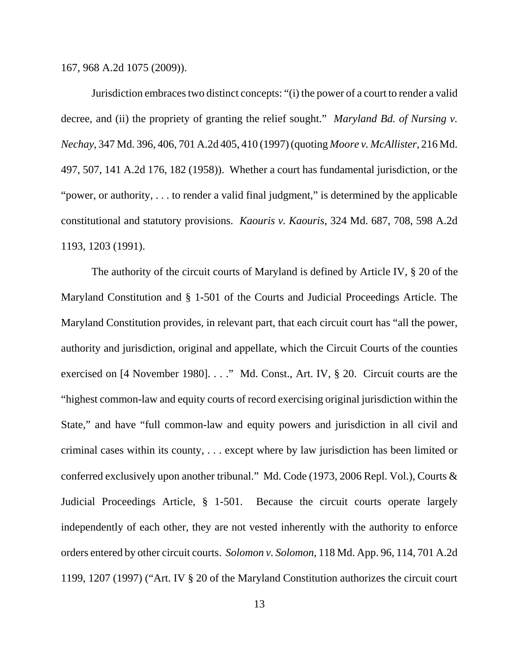167, 968 A.2d 1075 (2009)).

Jurisdiction embraces two distinct concepts: "(i) the power of a court to render a valid decree, and (ii) the propriety of granting the relief sought." *Maryland Bd. of Nursing v. Nechay*, 347 Md. 396, 406, 701 A.2d 405, 410 (1997) (quoting *Moore v. McAllister*, 216 Md. 497, 507, 141 A.2d 176, 182 (1958)). Whether a court has fundamental jurisdiction, or the "power, or authority, . . . to render a valid final judgment," is determined by the applicable constitutional and statutory provisions. *Kaouris v. Kaouris*, 324 Md. 687, 708, 598 A.2d 1193, 1203 (1991).

The authority of the circuit courts of Maryland is defined by Article IV, § 20 of the Maryland Constitution and § 1-501 of the Courts and Judicial Proceedings Article. The Maryland Constitution provides, in relevant part, that each circuit court has "all the power, authority and jurisdiction, original and appellate, which the Circuit Courts of the counties exercised on [4 November 1980]. . . ." Md. Const., Art. IV, § 20. Circuit courts are the "highest common-law and equity courts of record exercising original jurisdiction within the State," and have "full common-law and equity powers and jurisdiction in all civil and criminal cases within its county, . . . except where by law jurisdiction has been limited or conferred exclusively upon another tribunal." Md. Code (1973, 2006 Repl. Vol.), Courts & Judicial Proceedings Article, § 1-501. Because the circuit courts operate largely independently of each other, they are not vested inherently with the authority to enforce orders entered by other circuit courts. *Solomon v. Solomon*, 118 Md. App. 96, 114, 701 A.2d 1199, 1207 (1997) ("Art. IV § 20 of the Maryland Constitution authorizes the circuit court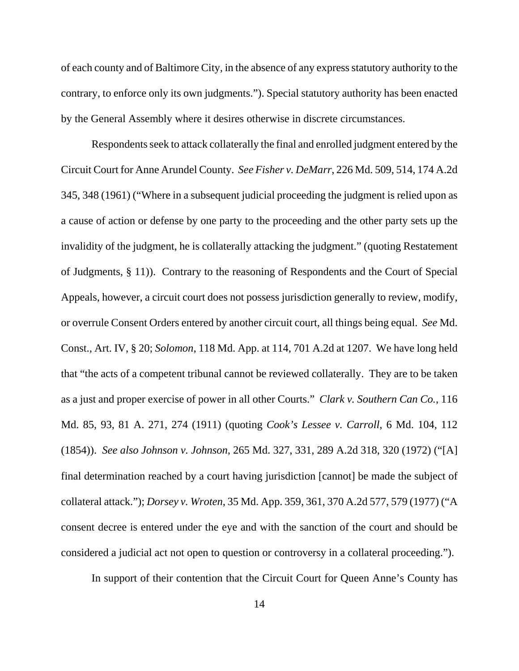of each county and of Baltimore City, in the absence of any express statutory authority to the contrary, to enforce only its own judgments."). Special statutory authority has been enacted by the General Assembly where it desires otherwise in discrete circumstances.

Respondents seek to attack collaterally the final and enrolled judgment entered by the Circuit Court for Anne Arundel County. *See Fisher v. DeMarr*, 226 Md. 509, 514, 174 A.2d 345, 348 (1961) ("Where in a subsequent judicial proceeding the judgment is relied upon as a cause of action or defense by one party to the proceeding and the other party sets up the invalidity of the judgment, he is collaterally attacking the judgment." (quoting Restatement of Judgments, § 11)). Contrary to the reasoning of Respondents and the Court of Special Appeals, however, a circuit court does not possess jurisdiction generally to review, modify, or overrule Consent Orders entered by another circuit court, all things being equal. *See* Md. Const., Art. IV, § 20; *Solomon*, 118 Md. App. at 114, 701 A.2d at 1207. We have long held that "the acts of a competent tribunal cannot be reviewed collaterally. They are to be taken as a just and proper exercise of power in all other Courts." *Clark v. Southern Can Co.*, 116 Md. 85, 93, 81 A. 271, 274 (1911) (quoting *Cook's Lessee v. Carroll*, 6 Md. 104, 112 (1854)). *See also Johnson v. Johnson*, 265 Md. 327, 331, 289 A.2d 318, 320 (1972) ("[A] final determination reached by a court having jurisdiction [cannot] be made the subject of collateral attack."); *Dorsey v. Wroten*, 35 Md. App. 359, 361, 370 A.2d 577, 579 (1977) ("A consent decree is entered under the eye and with the sanction of the court and should be considered a judicial act not open to question or controversy in a collateral proceeding.").

In support of their contention that the Circuit Court for Queen Anne's County has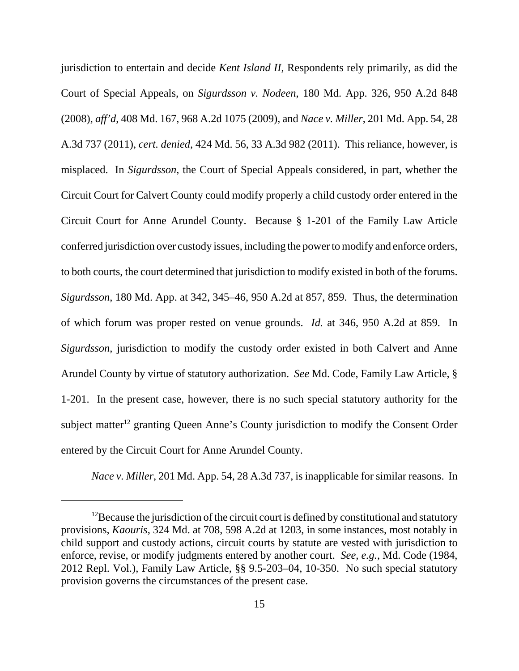jurisdiction to entertain and decide *Kent Island II*, Respondents rely primarily, as did the Court of Special Appeals, on *Sigurdsson v. Nodeen*, 180 Md. App. 326, 950 A.2d 848 (2008), *aff'd*, 408 Md. 167, 968 A.2d 1075 (2009), and *Nace v. Miller*, 201 Md. App. 54, 28 A.3d 737 (2011), *cert. denied*, 424 Md. 56, 33 A.3d 982 (2011). This reliance, however, is misplaced. In *Sigurdsson*, the Court of Special Appeals considered, in part, whether the Circuit Court for Calvert County could modify properly a child custody order entered in the Circuit Court for Anne Arundel County. Because § 1-201 of the Family Law Article conferred jurisdiction over custody issues, including the power to modify and enforce orders, to both courts, the court determined that jurisdiction to modify existed in both of the forums. *Sigurdsson*, 180 Md. App. at 342, 345–46, 950 A.2d at 857, 859. Thus, the determination of which forum was proper rested on venue grounds. *Id.* at 346, 950 A.2d at 859. In *Sigurdsson*, jurisdiction to modify the custody order existed in both Calvert and Anne Arundel County by virtue of statutory authorization. *See* Md. Code, Family Law Article, § 1-201. In the present case, however, there is no such special statutory authority for the subject matter<sup>12</sup> granting Queen Anne's County jurisdiction to modify the Consent Order entered by the Circuit Court for Anne Arundel County.

*Nace v. Miller*, 201 Md. App. 54, 28 A.3d 737, is inapplicable for similar reasons. In

 $12$ Because the jurisdiction of the circuit court is defined by constitutional and statutory provisions, *Kaouris*, 324 Md. at 708, 598 A.2d at 1203, in some instances, most notably in child support and custody actions, circuit courts by statute are vested with jurisdiction to enforce, revise, or modify judgments entered by another court. *See, e.g.*, Md. Code (1984, 2012 Repl. Vol.), Family Law Article, §§ 9.5-203–04, 10-350. No such special statutory provision governs the circumstances of the present case.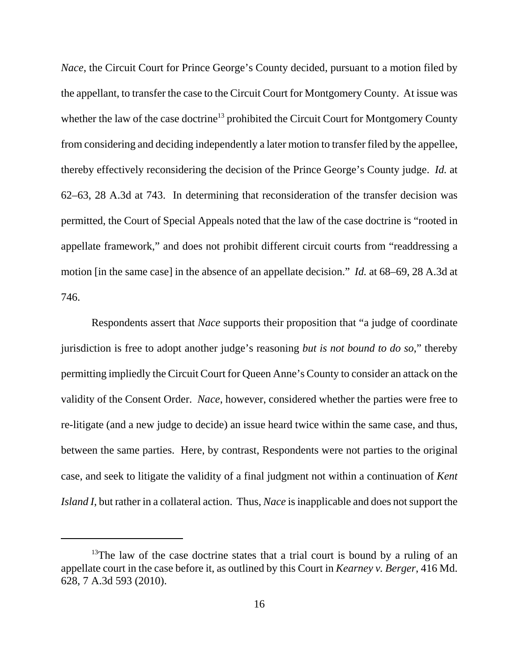*Nace*, the Circuit Court for Prince George's County decided, pursuant to a motion filed by the appellant, to transfer the case to the Circuit Court for Montgomery County. At issue was whether the law of the case doctrine<sup>13</sup> prohibited the Circuit Court for Montgomery County from considering and deciding independently a later motion to transfer filed by the appellee, thereby effectively reconsidering the decision of the Prince George's County judge. *Id.* at 62–63, 28 A.3d at 743. In determining that reconsideration of the transfer decision was permitted, the Court of Special Appeals noted that the law of the case doctrine is "rooted in appellate framework," and does not prohibit different circuit courts from "readdressing a motion [in the same case] in the absence of an appellate decision." *Id.* at 68–69, 28 A.3d at 746.

Respondents assert that *Nace* supports their proposition that "a judge of coordinate jurisdiction is free to adopt another judge's reasoning *but is not bound to do so*," thereby permitting impliedly the Circuit Court for Queen Anne's County to consider an attack on the validity of the Consent Order. *Nace*, however, considered whether the parties were free to re-litigate (and a new judge to decide) an issue heard twice within the same case, and thus, between the same parties. Here, by contrast, Respondents were not parties to the original case, and seek to litigate the validity of a final judgment not within a continuation of *Kent Island I*, but rather in a collateral action. Thus, *Nace* is inapplicable and does not support the

<sup>&</sup>lt;sup>13</sup>The law of the case doctrine states that a trial court is bound by a ruling of an appellate court in the case before it, as outlined by this Court in *Kearney v. Berger*, 416 Md. 628, 7 A.3d 593 (2010).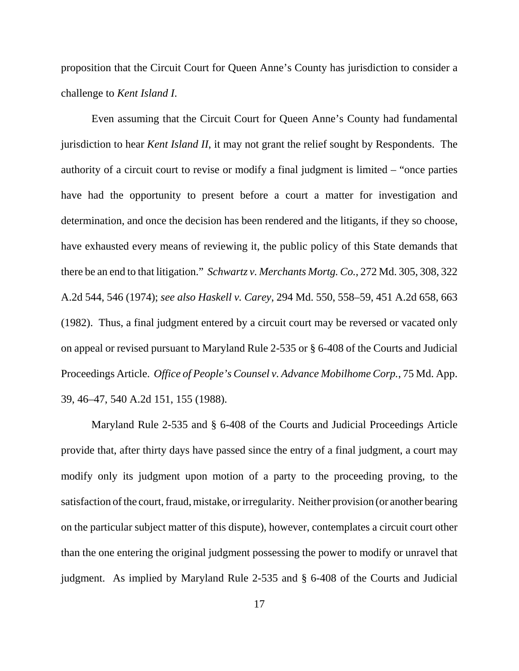proposition that the Circuit Court for Queen Anne's County has jurisdiction to consider a challenge to *Kent Island I*.

Even assuming that the Circuit Court for Queen Anne's County had fundamental jurisdiction to hear *Kent Island II*, it may not grant the relief sought by Respondents. The authority of a circuit court to revise or modify a final judgment is limited – "once parties have had the opportunity to present before a court a matter for investigation and determination, and once the decision has been rendered and the litigants, if they so choose, have exhausted every means of reviewing it, the public policy of this State demands that there be an end to that litigation." *Schwartz v. Merchants Mortg. Co.*, 272 Md. 305, 308, 322 A.2d 544, 546 (1974); *see also Haskell v. Carey*, 294 Md. 550, 558–59, 451 A.2d 658, 663 (1982). Thus, a final judgment entered by a circuit court may be reversed or vacated only on appeal or revised pursuant to Maryland Rule 2-535 or § 6-408 of the Courts and Judicial Proceedings Article. *Office of People's Counsel v. Advance Mobilhome Corp.*, 75 Md. App. 39, 46–47, 540 A.2d 151, 155 (1988).

Maryland Rule 2-535 and § 6-408 of the Courts and Judicial Proceedings Article provide that, after thirty days have passed since the entry of a final judgment, a court may modify only its judgment upon motion of a party to the proceeding proving, to the satisfaction of the court, fraud, mistake, or irregularity. Neither provision (or another bearing on the particular subject matter of this dispute), however, contemplates a circuit court other than the one entering the original judgment possessing the power to modify or unravel that judgment. As implied by Maryland Rule 2-535 and § 6-408 of the Courts and Judicial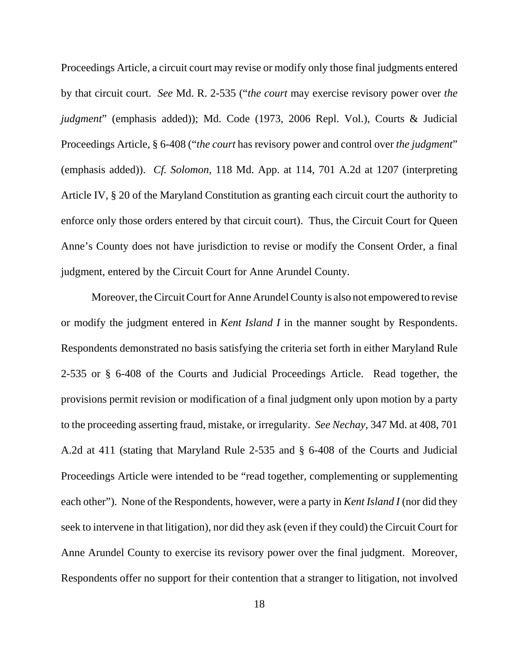Proceedings Article, a circuit court may revise or modify only those final judgments entered by that circuit court. *See* Md. R. 2-535 ("*the court* may exercise revisory power over *the judgment*" (emphasis added)); Md. Code (1973, 2006 Repl. Vol.), Courts & Judicial Proceedings Article, § 6-408 ("*the court* has revisory power and control over *the judgment*" (emphasis added)). *Cf. Solomon*, 118 Md. App. at 114, 701 A.2d at 1207 (interpreting Article IV, § 20 of the Maryland Constitution as granting each circuit court the authority to enforce only those orders entered by that circuit court). Thus, the Circuit Court for Queen Anne's County does not have jurisdiction to revise or modify the Consent Order, a final judgment, entered by the Circuit Court for Anne Arundel County.

Moreover, the Circuit Court for Anne Arundel County is also not empowered to revise or modify the judgment entered in *Kent Island I* in the manner sought by Respondents. Respondents demonstrated no basis satisfying the criteria set forth in either Maryland Rule 2-535 or § 6-408 of the Courts and Judicial Proceedings Article. Read together, the provisions permit revision or modification of a final judgment only upon motion by a party to the proceeding asserting fraud, mistake, or irregularity. *See Nechay*, 347 Md. at 408, 701 A.2d at 411 (stating that Maryland Rule 2-535 and § 6-408 of the Courts and Judicial Proceedings Article were intended to be "read together, complementing or supplementing each other"). None of the Respondents, however, were a party in *Kent Island I* (nor did they seek to intervene in that litigation), nor did they ask (even if they could) the Circuit Court for Anne Arundel County to exercise its revisory power over the final judgment. Moreover, Respondents offer no support for their contention that a stranger to litigation, not involved